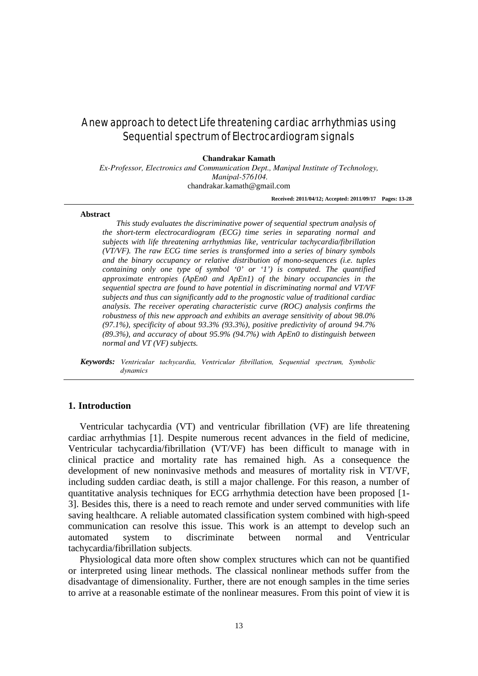# A new approach to detect Life threatening cardiac arrhythmias using Sequential spectrum of Electrocardiogram signals

**Chandrakar Kamath** 

*Ex-Professor, Electronics and Communication Dept., Manipal Institute of Technology, Manipal-576104.* chandrakar.kamath@gmail.com

**Received: 2011/04/12; Accepted: 2011/09/17 Pages: 13-28**

#### **Abstract**

*This study evaluates the discriminative power of sequential spectrum analysis of the short-term electrocardiogram (ECG) time series in separating normal and subjects with life threatening arrhythmias like, ventricular tachycardia/fibrillation (VT/VF). The raw ECG time series is transformed into a series of binary symbols and the binary occupancy or relative distribution of mono-sequences (i.e. tuples containing only one type of symbol '0' or '1') is computed. The quantified approximate entropies (ApEn0 and ApEn1) of the binary occupancies in the sequential spectra are found to have potential in discriminating normal and VT/VF subjects and thus can significantly add to the prognostic value of traditional cardiac analysis. The receiver operating characteristic curve (ROC) analysis confirms the robustness of this new approach and exhibits an average sensitivity of about 98.0% (97.1%), specificity of about 93.3% (93.3%), positive predictivity of around 94.7% (89.3%), and accuracy of about 95.9% (94.7%) with ApEn0 to distinguish between normal and VT (VF) subjects.*

*Keywords: Ventricular tachycardia, Ventricular fibrillation, Sequential spectrum, Symbolic dynamics*

## **1. Introduction**

Ventricular tachycardia (VT) and ventricular fibrillation (VF) are life threatening cardiac arrhythmias [1]. Despite numerous recent advances in the field of medicine, Ventricular tachycardia/fibrillation (VT/VF) has been difficult to manage with in clinical practice and mortality rate has remained high. As a consequence the development of new noninvasive methods and measures of mortality risk in VT/VF, including sudden cardiac death, is still a major challenge. For this reason, a number of quantitative analysis techniques for ECG arrhythmia detection have been proposed [1- 3]. Besides this, there is a need to reach remote and under served communities with life saving healthcare. A reliable automated classification system combined with high-speed communication can resolve this issue. This work is an attempt to develop such an automated system to discriminate between normal and Ventricular tachycardia/fibrillation subjects.

Physiological data more often show complex structures which can not be quantified or interpreted using linear methods. The classical nonlinear methods suffer from the disadvantage of dimensionality. Further, there are not enough samples in the time series to arrive at a reasonable estimate of the nonlinear measures. From this point of view it is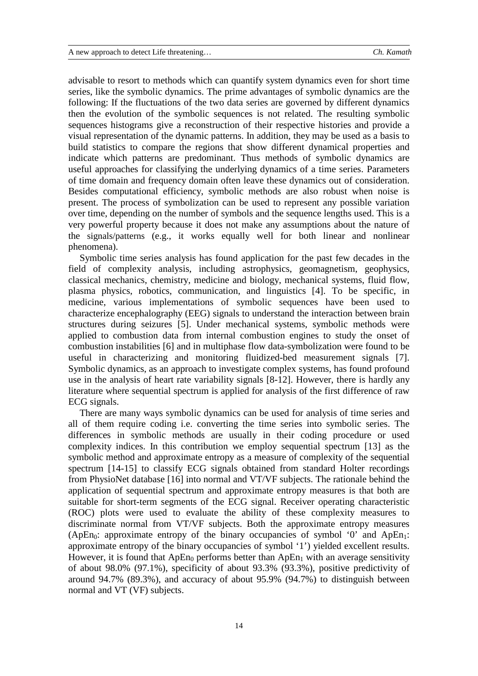advisable to resort to methods which can quantify system dynamics even for short time series, like the symbolic dynamics. The prime advantages of symbolic dynamics are the following: If the fluctuations of the two data series are governed by different dynamics then the evolution of the symbolic sequences is not related. The resulting symbolic sequences histograms give a reconstruction of their respective histories and provide a visual representation of the dynamic patterns. In addition, they may be used as a basis to build statistics to compare the regions that show different dynamical properties and indicate which patterns are predominant. Thus methods of symbolic dynamics are useful approaches for classifying the underlying dynamics of a time series. Parameters of time domain and frequency domain often leave these dynamics out of consideration. Besides computational efficiency, symbolic methods are also robust when noise is present. The process of symbolization can be used to represent any possible variation over time, depending on the number of symbols and the sequence lengths used. This is a very powerful property because it does not make any assumptions about the nature of the signals/patterns (e.g., it works equally well for both linear and nonlinear phenomena).

Symbolic time series analysis has found application for the past few decades in the field of complexity analysis, including astrophysics, geomagnetism, geophysics, classical mechanics, chemistry, medicine and biology, mechanical systems, fluid flow, plasma physics, robotics, communication, and linguistics [4]. To be specific, in medicine, various implementations of symbolic sequences have been used to characterize encephalography (EEG) signals to understand the interaction between brain structures during seizures [5]. Under mechanical systems, symbolic methods were applied to combustion data from internal combustion engines to study the onset of combustion instabilities [6] and in multiphase flow data-symbolization were found to be useful in characterizing and monitoring fluidized-bed measurement signals [7]. Symbolic dynamics, as an approach to investigate complex systems, has found profound use in the analysis of heart rate variability signals [8-12]. However, there is hardly any literature where sequential spectrum is applied for analysis of the first difference of raw ECG signals.

There are many ways symbolic dynamics can be used for analysis of time series and all of them require coding i.e. converting the time series into symbolic series. The differences in symbolic methods are usually in their coding procedure or used complexity indices. In this contribution we employ sequential spectrum [13] as the symbolic method and approximate entropy as a measure of complexity of the sequential spectrum [14-15] to classify ECG signals obtained from standard Holter recordings from PhysioNet database [16] into normal and VT/VF subjects. The rationale behind the application of sequential spectrum and approximate entropy measures is that both are suitable for short-term segments of the ECG signal. Receiver operating characteristic (ROC) plots were used to evaluate the ability of these complexity measures to discriminate normal from VT/VF subjects. Both the approximate entropy measures (ApEn<sub>0</sub>: approximate entropy of the binary occupancies of symbol '0' and  $ApEn<sub>1</sub>$ : approximate entropy of the binary occupancies of symbol '1') yielded excellent results. However, it is found that  $ApEn<sub>0</sub>$  performs better than  $ApEn<sub>1</sub>$  with an average sensitivity of about 98.0% (97.1%), specificity of about 93.3% (93.3%), positive predictivity of around 94.7% (89.3%), and accuracy of about 95.9% (94.7%) to distinguish between normal and VT (VF) subjects.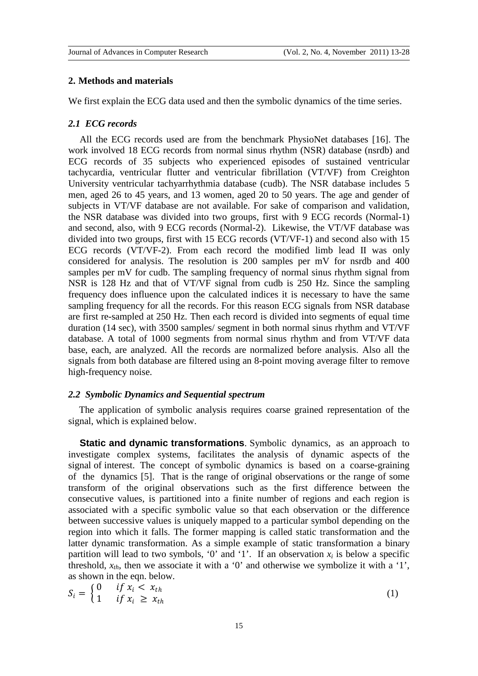#### **2. Methods and materials**

We first explain the ECG data used and then the symbolic dynamics of the time series.

#### *2.1 ECG records*

All the ECG records used are from the benchmark PhysioNet databases [16]. The work involved 18 ECG records from normal sinus rhythm (NSR) database (nsrdb) and ECG records of 35 subjects who experienced episodes of sustained ventricular tachycardia, ventricular flutter and ventricular fibrillation (VT/VF) from Creighton University ventricular tachyarrhythmia database (cudb). The NSR database includes 5 men, aged 26 to 45 years, and 13 women, aged 20 to 50 years. The age and gender of subjects in VT/VF database are not available. For sake of comparison and validation, the NSR database was divided into two groups, first with 9 ECG records (Normal-1) and second, also, with 9 ECG records (Normal-2). Likewise, the VT/VF database was divided into two groups, first with 15 ECG records (VT/VF-1) and second also with 15 ECG records (VT/VF-2). From each record the modified limb lead II was only considered for analysis. The resolution is 200 samples per mV for nsrdb and 400 samples per mV for cudb. The sampling frequency of normal sinus rhythm signal from NSR is 128 Hz and that of VT/VF signal from cudb is 250 Hz. Since the sampling frequency does influence upon the calculated indices it is necessary to have the same sampling frequency for all the records. For this reason ECG signals from NSR database are first re-sampled at 250 Hz. Then each record is divided into segments of equal time duration (14 sec), with 3500 samples/ segment in both normal sinus rhythm and VT/VF database. A total of 1000 segments from normal sinus rhythm and from VT/VF data base, each, are analyzed. All the records are normalized before analysis. Also all the signals from both database are filtered using an 8-point moving average filter to remove high-frequency noise.

## *2.2 Symbolic Dynamics and Sequential spectrum*

The application of symbolic analysis requires coarse grained representation of the signal, which is explained below.

**Static and dynamic transformations**. Symbolic dynamics, as an approach to investigate complex systems, facilitates the analysis of dynamic aspects of the signal of interest. The concept of symbolic dynamics is based on a coarse-graining of the dynamics [5]. That is the range of original observations or the range of some transform of the original observations such as the first difference between the consecutive values, is partitioned into a finite number of regions and each region is associated with a specific symbolic value so that each observation or the difference between successive values is uniquely mapped to a particular symbol depending on the region into which it falls. The former mapping is called static transformation and the latter dynamic transformation. As a simple example of static transformation a binary partition will lead to two symbols, '0' and '1'. If an observation  $x_i$  is below a specific threshold,  $x_{th}$ , then we associate it with a '0' and otherwise we symbolize it with a '1', as shown in the eqn. below.

$$
S_i = \begin{cases} 0 & \text{if } x_i < x_{th} \\ 1 & \text{if } x_i \geq x_{th} \end{cases} \tag{1}
$$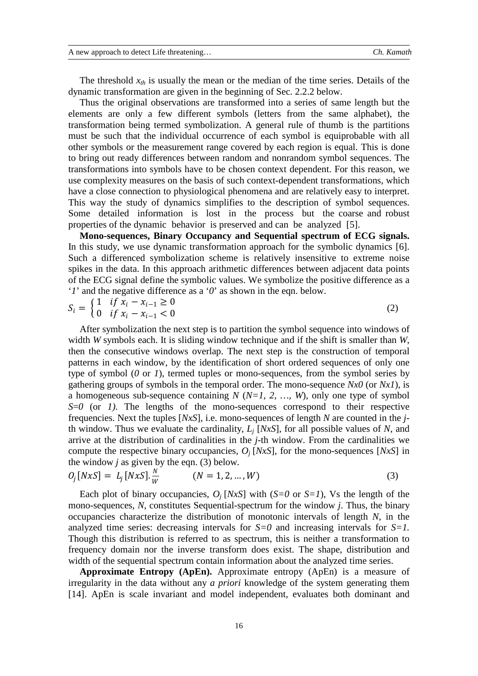The threshold  $x_{th}$  is usually the mean or the median of the time series. Details of the dynamic transformation are given in the beginning of Sec. 2.2.2 below.

Thus the original observations are transformed into a series of same length but the elements are only a few different symbols (letters from the same alphabet), the transformation being termed symbolization. A general rule of thumb is the partitions must be such that the individual occurrence of each symbol is equiprobable with all other symbols or the measurement range covered by each region is equal. This is done to bring out ready differences between random and nonrandom symbol sequences. The transformations into symbols have to be chosen context dependent. For this reason, we use complexity measures on the basis of such context-dependent transformations, which have a close connection to physiological phenomena and are relatively easy to interpret. This way the study of dynamics simplifies to the description of symbol sequences. Some detailed information is lost in the process but the coarse and robust properties of the dynamic behavior is preserved and can be analyzed [5].

**Mono-sequences, Binary Occupancy and Sequential spectrum of ECG signals.**  In this study, we use dynamic transformation approach for the symbolic dynamics [6]. Such a differenced symbolization scheme is relatively insensitive to extreme noise spikes in the data. In this approach arithmetic differences between adjacent data points of the ECG signal define the symbolic values. We symbolize the positive difference as a '*1*' and the negative difference as a '*0*' as shown in the eqn. below.

$$
S_i = \begin{cases} 1 & \text{if } x_i - x_{i-1} \ge 0 \\ 0 & \text{if } x_i - x_{i-1} < 0 \end{cases} \tag{2}
$$

After symbolization the next step is to partition the symbol sequence into windows of width *W* symbols each. It is sliding window technique and if the shift is smaller than *W*, then the consecutive windows overlap. The next step is the construction of temporal patterns in each window, by the identification of short ordered sequences of only one type of symbol (*0* or *1*), termed tuples or mono-sequences, from the symbol series by gathering groups of symbols in the temporal order. The mono-sequence *Nx0* (or *Nx1*)*,* is a homogeneous sub-sequence containing  $N$  ( $N=1, 2, ..., W$ ), only one type of symbol *S*=*0* (or *1)*. The lengths of the mono-sequences correspond to their respective frequencies. Next the tuples [*NxS*], i.e. mono-sequences of length *N* are counted in the *j*th window. Thus we evaluate the cardinality, *Lj* [*NxS*], for all possible values of *N*, and arrive at the distribution of cardinalities in the *j*-th window. From the cardinalities we compute the respective binary occupancies, *Oj* [*NxS*], for the mono-sequences [*NxS*] in the window  $j$  as given by the eqn. (3) below.

$$
O_j[NxS] = L_j[NxS].\frac{N}{W} \qquad (N = 1, 2, ..., W)
$$
\n(3)

Each plot of binary occupancies,  $O_i$  [*NxS*] with (*S*=*0* or *S*=*1*), Vs the length of the mono-sequences, *N,* constitutes Sequential-spectrum for the window *j*. Thus, the binary occupancies characterize the distribution of monotonic intervals of length *N*, in the analyzed time series: decreasing intervals for *S=0* and increasing intervals for *S=1.* Though this distribution is referred to as spectrum, this is neither a transformation to frequency domain nor the inverse transform does exist. The shape, distribution and width of the sequential spectrum contain information about the analyzed time series.

**Approximate Entropy (ApEn).** Approximate entropy (ApEn) is a measure of irregularity in the data without any *a priori* knowledge of the system generating them [14]. ApEn is scale invariant and model independent, evaluates both dominant and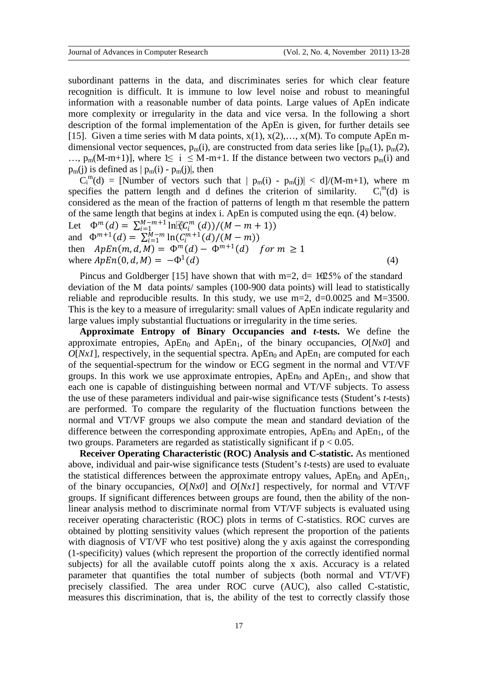subordinant patterns in the data, and discriminates series for which clear feature recognition is difficult. It is immune to low level noise and robust to meaningful information with a reasonable number of data points. Large values of ApEn indicate more complexity or irregularity in the data and vice versa. In the following a short description of the formal implementation of the ApEn is given, for further details see [15]. Given a time series with M data points,  $x(1)$ ,  $x(2)$ ,...,  $x(M)$ . To compute ApEn mdimensional vector sequences,  $p_m(i)$ , are constructed from data series like  $[p_m(1), p_m(2)]$ , …,  $p_m(M-m+1)$ ], where 1≤ i ≤ M-m+1. If the distance between two vectors  $p_m(i)$  and  $p_m(j)$  is defined as  $|p_m(i) - p_m(j)|$ , then

 $C_i^m(d)$  = [Number of vectors such that  $|p_m(i) - p_m(j)| < d$ ]/(M-m+1), where m specifies the pattern length and d defines the criterion of similarity.  $C_i^{m}(d)$  is considered as the mean of the fraction of patterns of length m that resemble the pattern of the same length that begins at index i. ApEn is computed using the eqn. (4) below. Let  $\Phi^m(d) = \sum_{i=1}^{M-m+1} \ln[\mathfrak{C}_i^m(d)]/(M-m+1)$ and  $\Phi^{m+1}(d) = \sum_{i=1}^{M-m} \ln(C_i^{m+1}(d)/(M-m))$ then  $ApEn(m, d, M) = \Phi^{m}(d) - \Phi^{m+1}(d)$  for  $m \ge 1$ 

where  $ApEn(0, d, M) = -\Phi^1(d)$  (4)

Pincus and Goldberger [15] have shown that with m=2, d=  $10-100$  +  $1000$  +  $1000$  +  $1000$  +  $1000$  +  $1000$  +  $1000$  +  $1000$  +  $1000$  +  $1000$  +  $1000$  +  $1000$  +  $1000$  +  $1000$  +  $1000$  +  $1000$  +  $1000$  +  $1000$  + deviation of the M data points/ samples (100-900 data points) will lead to statistically reliable and reproducible results. In this study, we use  $m=2$ ,  $d=0.0025$  and  $M=3500$ . This is the key to a measure of irregularity: small values of ApEn indicate regularity and large values imply substantial fluctuations or irregularity in the time series.

**Approximate Entropy of Binary Occupancies and** *t***-tests.** We define the approximate entropies,  $ApEn<sub>0</sub>$  and  $ApEn<sub>1</sub>$ , of the binary occupancies,  $O[Nx0]$  and  $O[Nx1]$ , respectively, in the sequential spectra. ApEn<sub>0</sub> and ApEn<sub>1</sub> are computed for each of the sequential-spectrum for the window or ECG segment in the normal and VT/VF groups. In this work we use approximate entropies,  $ApEn<sub>0</sub>$  and  $ApEn<sub>1</sub>$ , and show that each one is capable of distinguishing between normal and VT/VF subjects. To assess the use of these parameters individual and pair-wise significance tests (Student's *t*-tests) are performed. To compare the regularity of the fluctuation functions between the normal and VT/VF groups we also compute the mean and standard deviation of the difference between the corresponding approximate entropies,  $ApEn<sub>0</sub>$  and  $ApEn<sub>1</sub>$ , of the two groups. Parameters are regarded as statistically significant if  $p < 0.05$ .

**Receiver Operating Characteristic (ROC) Analysis and C-statistic.** As mentioned above, individual and pair-wise significance tests (Student's *t*-tests) are used to evaluate the statistical differences between the approximate entropy values,  $ApEn<sub>0</sub>$  and  $ApEn<sub>1</sub>$ , of the binary occupancies, *O*[*Nx0*] and *O*[*Nx1*] respectively, for normal and VT/VF groups. If significant differences between groups are found, then the ability of the nonlinear analysis method to discriminate normal from VT/VF subjects is evaluated using receiver operating characteristic (ROC) plots in terms of C-statistics. ROC curves are obtained by plotting sensitivity values (which represent the proportion of the patients with diagnosis of VT/VF who test positive) along the y axis against the corresponding (1-specificity) values (which represent the proportion of the correctly identified normal subjects) for all the available cutoff points along the x axis. Accuracy is a related parameter that quantifies the total number of subjects (both normal and VT/VF) precisely classified. The area under ROC curve (AUC), also called C-statistic, measures this discrimination, that is, the ability of the test to correctly classify those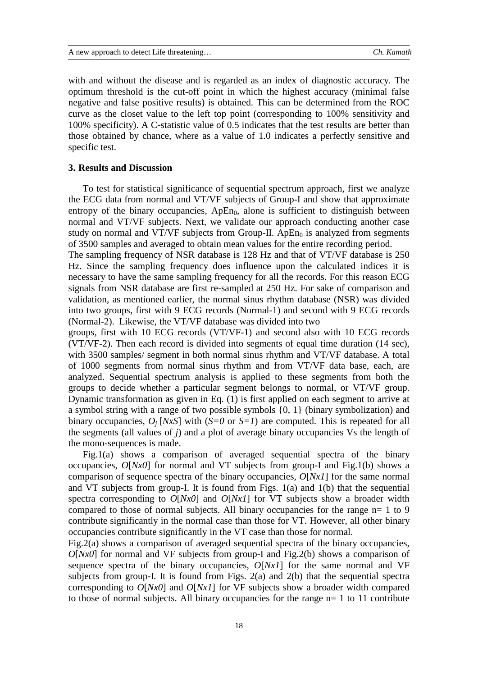with and without the disease and is regarded as an index of diagnostic accuracy. The optimum threshold is the cut-off point in which the highest accuracy (minimal false negative and false positive results) is obtained. This can be determined from the ROC curve as the closet value to the left top point (corresponding to 100% sensitivity and 100% specificity). A C-statistic value of 0.5 indicates that the test results are better than those obtained by chance, where as a value of 1.0 indicates a perfectly sensitive and specific test.

## **3. Results and Discussion**

To test for statistical significance of sequential spectrum approach, first we analyze the ECG data from normal and VT/VF subjects of Group-I and show that approximate entropy of the binary occupancies,  $ApEn<sub>0</sub>$ , alone is sufficient to distinguish between normal and VT/VF subjects. Next, we validate our approach conducting another case study on normal and VT/VF subjects from Group-II. Ap $En<sub>0</sub>$  is analyzed from segments of 3500 samples and averaged to obtain mean values for the entire recording period.

The sampling frequency of NSR database is 128 Hz and that of VT/VF database is 250 Hz. Since the sampling frequency does influence upon the calculated indices it is necessary to have the same sampling frequency for all the records. For this reason ECG signals from NSR database are first re-sampled at 250 Hz. For sake of comparison and validation, as mentioned earlier, the normal sinus rhythm database (NSR) was divided into two groups, first with 9 ECG records (Normal-1) and second with 9 ECG records (Normal-2). Likewise, the VT/VF database was divided into two

groups, first with 10 ECG records (VT/VF-1) and second also with 10 ECG records (VT/VF-2). Then each record is divided into segments of equal time duration (14 sec), with 3500 samples/ segment in both normal sinus rhythm and VT/VF database. A total of 1000 segments from normal sinus rhythm and from VT/VF data base, each, are analyzed. Sequential spectrum analysis is applied to these segments from both the groups to decide whether a particular segment belongs to normal, or VT/VF group. Dynamic transformation as given in Eq. (1) is first applied on each segment to arrive at a symbol string with a range of two possible symbols {0, 1} (binary symbolization) and binary occupancies,  $O_i$  [*NxS*] with (*S*=*0* or *S*=*1*) are computed. This is repeated for all the segments (all values of *j*) and a plot of average binary occupancies Vs the length of the mono-sequences is made.

Fig.1(a) shows a comparison of averaged sequential spectra of the binary occupancies, *O*[*Nx0*] for normal and VT subjects from group-I and Fig.1(b) shows a comparison of sequence spectra of the binary occupancies, *O*[*Nx1*] for the same normal and VT subjects from group-I. It is found from Figs. 1(a) and 1(b) that the sequential spectra corresponding to *O*[*Nx0*] and *O*[*Nx1*] for VT subjects show a broader width compared to those of normal subjects. All binary occupancies for the range n= 1 to 9 contribute significantly in the normal case than those for VT. However, all other binary occupancies contribute significantly in the VT case than those for normal.

Fig.2(a) shows a comparison of averaged sequential spectra of the binary occupancies, *O*[*Nx0*] for normal and VF subjects from group-I and Fig.2(b) shows a comparison of sequence spectra of the binary occupancies, *O*[*Nx1*] for the same normal and VF subjects from group-I. It is found from Figs. 2(a) and 2(b) that the sequential spectra corresponding to *O*[*Nx0*] and *O*[*Nx1*] for VF subjects show a broader width compared to those of normal subjects. All binary occupancies for the range n= 1 to 11 contribute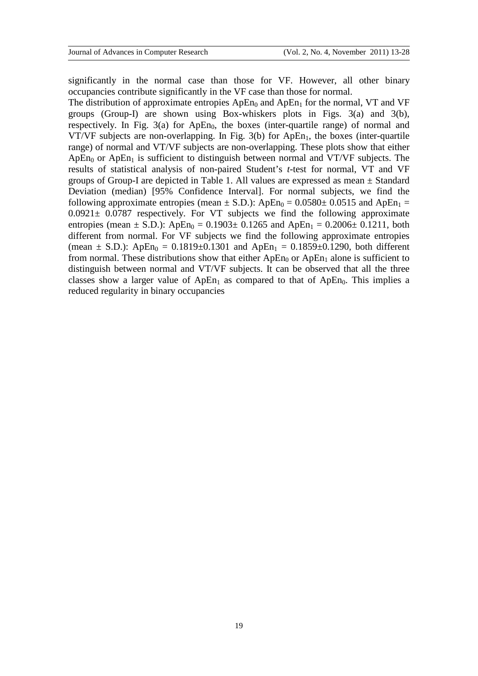significantly in the normal case than those for VF. However, all other binary occupancies contribute significantly in the VF case than those for normal.

The distribution of approximate entropies  $ApEn<sub>0</sub>$  and  $ApEn<sub>1</sub>$  for the normal, VT and VF groups (Group-I) are shown using Box-whiskers plots in Figs. 3(a) and 3(b), respectively. In Fig. 3(a) for  $ApEn<sub>0</sub>$ , the boxes (inter-quartile range) of normal and VT/VF subjects are non-overlapping. In Fig.  $3(b)$  for ApEn<sub>1</sub>, the boxes (inter-quartile range) of normal and VT/VF subjects are non-overlapping. These plots show that either ApEn<sub>0</sub> or ApEn<sub>1</sub> is sufficient to distinguish between normal and VT/VF subjects. The results of statistical analysis of non-paired Student's *t*-test for normal, VT and VF groups of Group-I are depicted in Table 1. All values are expressed as mean  $\pm$  Standard Deviation (median) [95% Confidence Interval]. For normal subjects, we find the following approximate entropies (mean  $\pm$  S.D.): ApEn<sub>0</sub> = 0.0580 $\pm$  0.0515 and ApEn<sub>1</sub> =  $0.0921 \pm 0.0787$  respectively. For VT subjects we find the following approximate entropies (mean  $\pm$  S.D.): ApEn<sub>0</sub> = 0.1903 $\pm$  0.1265 and ApEn<sub>1</sub> = 0.2006 $\pm$  0.1211, both different from normal. For VF subjects we find the following approximate entropies (mean  $\pm$  S.D.): ApEn<sub>0</sub> = 0.1819 $\pm$ 0.1301 and ApEn<sub>1</sub> = 0.1859 $\pm$ 0.1290, both different from normal. These distributions show that either  $ApEn<sub>0</sub>$  or  $ApEn<sub>1</sub>$  alone is sufficient to distinguish between normal and VT/VF subjects. It can be observed that all the three classes show a larger value of ApEn<sub>1</sub> as compared to that of ApEn<sub>0</sub>. This implies a reduced regularity in binary occupancies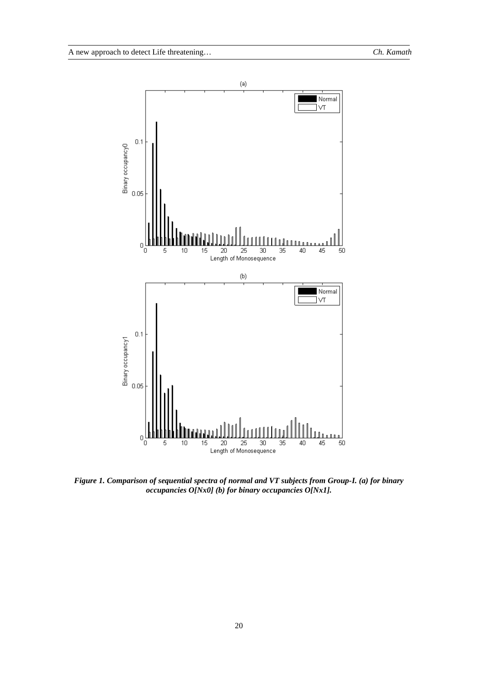

*Figure 1. Comparison of sequential spectra of normal and VT subjects from Group-I. (a) for binary occupancies O[Nx0] (b) for binary occupancies O[Nx1].*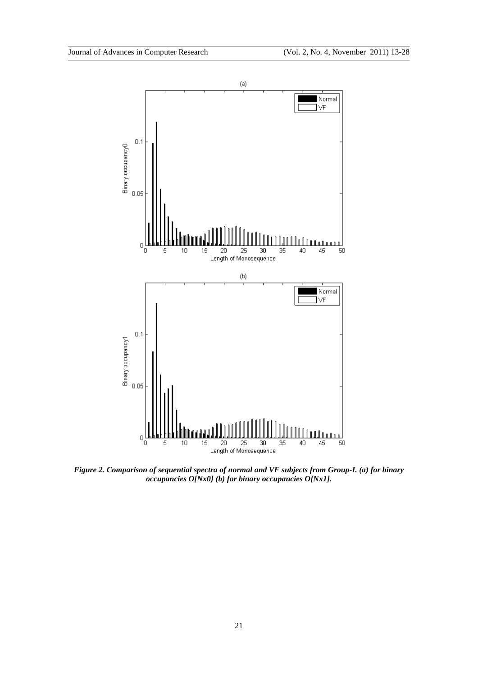

*Figure 2. Comparison of sequential spectra of normal and VF subjects from Group-I. (a) for binary occupancies O[Nx0] (b) for binary occupancies O[Nx1].*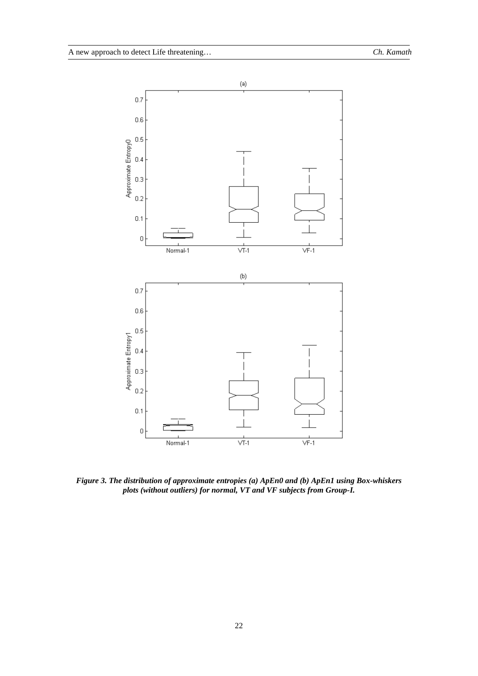

*Figure 3. The distribution of approximate entropies (a) ApEn0 and (b) ApEn1 using Box-whiskers plots (without outliers) for normal, VT and VF subjects from Group-I.*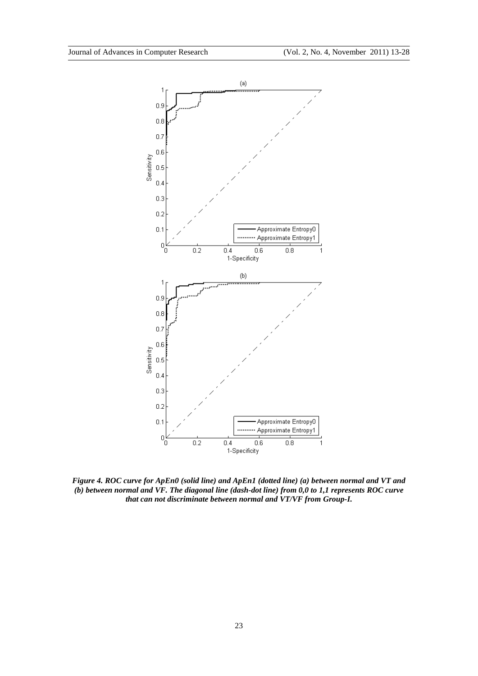

*Figure 4. ROC curve for ApEn0 (solid line) and ApEn1 (dotted line) (a) between normal and VT and (b) between normal and VF. The diagonal line (dash-dot line) from 0,0 to 1,1 represents ROC curve that can not discriminate between normal and VT/VF from Group-I.*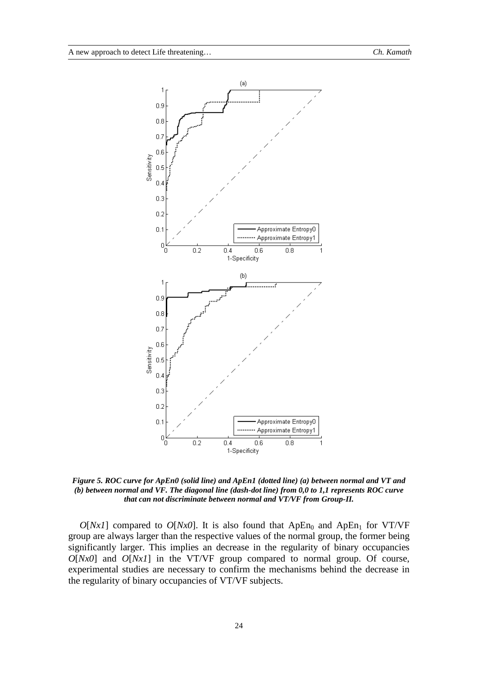

*Figure 5. ROC curve for ApEn0 (solid line) and ApEn1 (dotted line) (a) between normal and VT and (b) between normal and VF. The diagonal line (dash-dot line) from 0,0 to 1,1 represents ROC curve that can not discriminate between normal and VT/VF from Group-II.*

 $O[Nx1]$  compared to  $O[Nx0]$ . It is also found that ApEn<sub>0</sub> and ApEn<sub>1</sub> for VT/VF group are always larger than the respective values of the normal group, the former being significantly larger. This implies an decrease in the regularity of binary occupancies *O*[*Nx0*] and *O*[*Nx1*] in the VT/VF group compared to normal group. Of course, experimental studies are necessary to confirm the mechanisms behind the decrease in the regularity of binary occupancies of VT/VF subjects.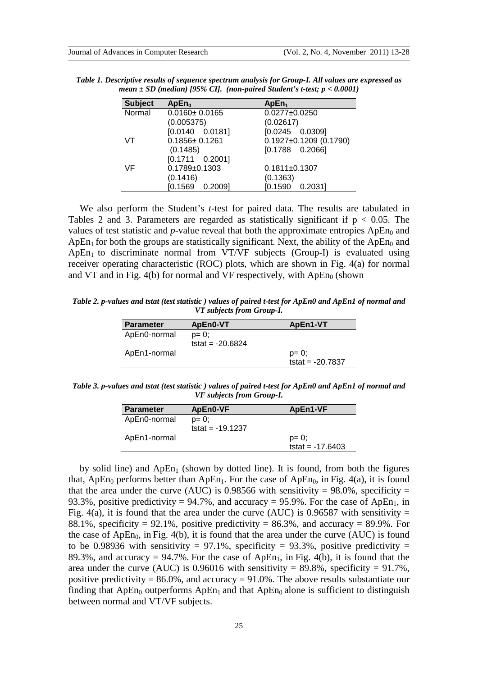| <b>Subject</b> | ApEn <sub>0</sub>       | ApEn <sub>1</sub>            |
|----------------|-------------------------|------------------------------|
| Normal         | $0.0160 \pm 0.0165$     | $0.0277 \pm 0.0250$          |
|                | (0.005375)              | (0.02617)                    |
|                | $[0.0140 \quad 0.0181]$ | $[0.0245 \quad 0.0309]$      |
| VT             | $0.1856 \pm 0.1261$     | $0.1927 \pm 0.1209$ (0.1790) |
|                | (0.1485)                | $[0.1788 \ 0.2066]$          |
|                | $[0.1711 \ 0.2001]$     |                              |
| VF             | $0.1789 + 0.1303$       | $0.1811 \pm 0.1307$          |
|                | (0.1416)                | (0.1363)                     |
|                | $[0.1569 \quad 0.2009]$ | $[0.1590 \quad 0.2031]$      |

*Table 1. Descriptive results of sequence spectrum analysis for Group-I. All values are expressed as mean ± SD (median) [95% CI]. (non-paired Student's t-test; p < 0.0001)*

We also perform the Student's *t*-test for paired data. The results are tabulated in Tables 2 and 3. Parameters are regarded as statistically significant if  $p < 0.05$ . The values of test statistic and  $p$ -value reveal that both the approximate entropies  $ApEn<sub>0</sub>$  and ApEn<sub>1</sub> for both the groups are statistically significant. Next, the ability of the ApEn<sub>0</sub> and  $ApEn<sub>1</sub>$  to discriminate normal from VT/VF subjects (Group-I) is evaluated using receiver operating characteristic (ROC) plots, which are shown in Fig. 4(a) for normal and VT and in Fig. 4(b) for normal and VF respectively, with  $ApEn<sub>0</sub>$  (shown

*Table 2. p-values and tstat (test statistic ) values of paired t-test for ApEn0 and ApEn1 of normal and VT subjects from Group-I.*

| <b>Parameter</b> | ApEn0-VT           | ApEn1-VT           |
|------------------|--------------------|--------------------|
| ApEn0-normal     | $p = 0$ ;          |                    |
|                  | tstat = $-20.6824$ |                    |
| ApEn1-normal     |                    | $p = 0$ ;          |
|                  |                    | tstat = $-20.7837$ |
|                  |                    |                    |

*Table 3. p-values and tstat (test statistic ) values of paired t-test for ApEn0 and ApEn1 of normal and VF subjects from Group-I.*

| <b>Parameter</b> | ApEn0-VF                        | ApEn1-VF                        |
|------------------|---------------------------------|---------------------------------|
| ApEn0-normal     | $p = 0$ ;<br>tstat = $-19.1237$ |                                 |
| ApEn1-normal     |                                 | $p = 0$ ;<br>tstat = $-17.6403$ |

by solid line) and  $ApEn<sub>1</sub>$  (shown by dotted line). It is found, from both the figures that, ApEn<sub>0</sub> performs better than ApEn<sub>1</sub>. For the case of ApEn<sub>0</sub>, in Fig. 4(a), it is found that the area under the curve (AUC) is 0.98566 with sensitivity = 98.0%, specificity = 93.3%, positive predictivity = 94.7%, and accuracy = 95.9%. For the case of ApEn<sub>1</sub>, in Fig. 4(a), it is found that the area under the curve (AUC) is 0.96587 with sensitivity  $=$ 88.1%, specificity = 92.1%, positive predictivity = 86.3%, and accuracy = 89.9%. For the case of  $ApEn<sub>0</sub>$ , in Fig. 4(b), it is found that the area under the curve (AUC) is found to be 0.98936 with sensitivity = 97.1%, specificity = 93.3%, positive predictivity = 89.3%, and accuracy = 94.7%. For the case of ApEn<sub>1</sub>, in Fig. 4(b), it is found that the area under the curve (AUC) is 0.96016 with sensitivity = 89.8%, specificity =  $91.7\%$ , positive predictivity =  $86.0\%$ , and accuracy =  $91.0\%$ . The above results substantiate our finding that ApEn<sub>0</sub> outperforms ApEn<sub>1</sub> and that ApEn<sub>0</sub> alone is sufficient to distinguish between normal and VT/VF subjects.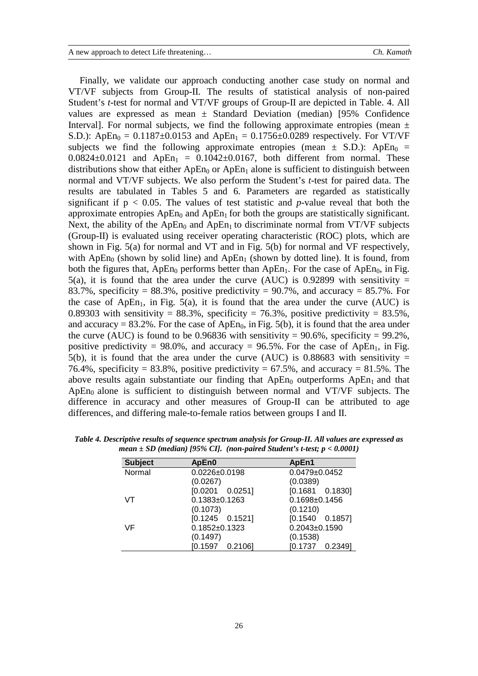Finally, we validate our approach conducting another case study on normal and VT/VF subjects from Group-II. The results of statistical analysis of non-paired Student's *t*-test for normal and VT/VF groups of Group-II are depicted in Table. 4. All values are expressed as mean  $\pm$  Standard Deviation (median) [95% Confidence Interval]. For normal subjects, we find the following approximate entropies (mean  $\pm$ S.D.): ApEn<sub>0</sub> = 0.1187 $\pm$ 0.0153 and ApEn<sub>1</sub> = 0.1756 $\pm$ 0.0289 respectively. For VT/VF subjects we find the following approximate entropies (mean  $\pm$  S.D.): ApEn<sub>0</sub> =  $0.0824 \pm 0.0121$  and  $ApEn_1 = 0.1042 \pm 0.0167$ , both different from normal. These distributions show that either  $ApEn<sub>0</sub>$  or  $ApEn<sub>1</sub>$  alone is sufficient to distinguish between normal and VT/VF subjects. We also perform the Student's *t*-test for paired data. The results are tabulated in Tables 5 and 6. Parameters are regarded as statistically significant if  $p < 0.05$ . The values of test statistic and *p*-value reveal that both the approximate entropies  $ApEn<sub>0</sub>$  and  $ApEn<sub>1</sub>$  for both the groups are statistically significant. Next, the ability of the ApEn<sub>0</sub> and ApEn<sub>1</sub> to discriminate normal from VT/VF subjects (Group-II) is evaluated using receiver operating characteristic (ROC) plots, which are shown in Fig. 5(a) for normal and VT and in Fig. 5(b) for normal and VF respectively, with ApEn<sub>0</sub> (shown by solid line) and ApEn<sub>1</sub> (shown by dotted line). It is found, from both the figures that,  $ApEn<sub>0</sub>$  performs better than  $ApEn<sub>1</sub>$ . For the case of  $ApEn<sub>0</sub>$ , in Fig. 5(a), it is found that the area under the curve (AUC) is 0.92899 with sensitivity  $=$ 83.7%, specificity = 88.3%, positive predictivity = 90.7%, and accuracy = 85.7%. For the case of ApEn<sub>1</sub>, in Fig. 5(a), it is found that the area under the curve (AUC) is 0.89303 with sensitivity = 88.3%, specificity = 76.3%, positive predictivity = 83.5%, and accuracy = 83.2%. For the case of ApEn<sub>0</sub>, in Fig. 5(b), it is found that the area under the curve (AUC) is found to be 0.96836 with sensitivity =  $90.6\%$ , specificity =  $99.2\%$ , positive predictivity = 98.0%, and accuracy = 96.5%. For the case of ApEn<sub>1</sub>, in Fig. 5(b), it is found that the area under the curve (AUC) is 0.88683 with sensitivity  $=$ 76.4%, specificity = 83.8%, positive predictivity = 67.5%, and accuracy = 81.5%. The above results again substantiate our finding that  $ApEn<sub>0</sub>$  outperforms  $ApEn<sub>1</sub>$  and that  $ApEn<sub>0</sub>$  alone is sufficient to distinguish between normal and VT/VF subjects. The difference in accuracy and other measures of Group-II can be attributed to age differences, and differing male-to-female ratios between groups I and II.

| <b>Subject</b> | ApEn0                   | ApEn1                   |
|----------------|-------------------------|-------------------------|
| Normal         | $0.0226 \pm 0.0198$     | $0.0479 \pm 0.0452$     |
|                | (0.0267)                | (0.0389)                |
|                | $[0.0201 \ 0.0251]$     | $[0.1681 \ 0.1830]$     |
| VT             | $0.1383 \pm 0.1263$     | $0.1698 \pm 0.1456$     |
|                | (0.1073)                | (0.1210)                |
|                | $[0.1245 \quad 0.1521]$ | $[0.1540 \quad 0.1857]$ |
| VF             | $0.1852 \pm 0.1323$     | $0.2043 \pm 0.1590$     |
|                | (0.1497)                | (0.1538)                |
|                | $[0.1597 \quad 0.2106]$ | $[0.1737 \ 0.2349]$     |

*Table 4. Descriptive results of sequence spectrum analysis for Group-II. All values are expressed as mean ± SD (median) [95% CI]. (non-paired Student's t-test; p < 0.0001)*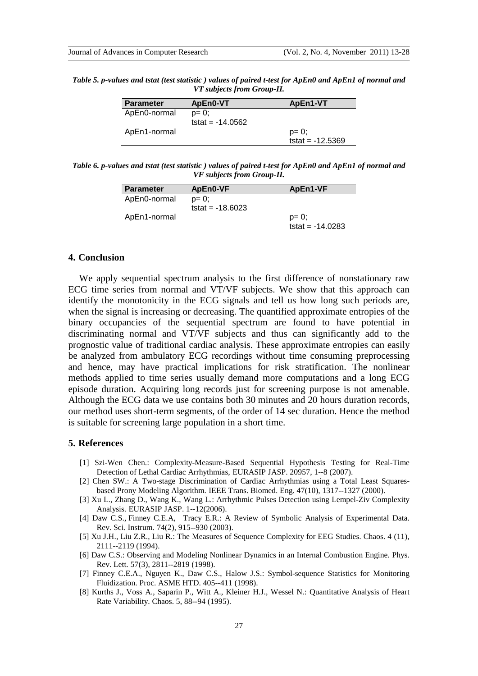*Table 5. p-values and tstat (test statistic ) values of paired t-test for ApEn0 and ApEn1 of normal and VT subjects from Group-II.*

| <b>Parameter</b> | ApEn0-VT                        | ApEn1-VT                        |
|------------------|---------------------------------|---------------------------------|
| ApEn0-normal     | $p = 0$ ;<br>tstat = $-14.0562$ |                                 |
| ApEn1-normal     |                                 | $p = 0$ ;<br>tstat = $-12.5369$ |

*Table 6. p-values and tstat (test statistic ) values of paired t-test for ApEn0 and ApEn1 of normal and VF subjects from Group-II.*

| <b>Parameter</b> | ApEn0-VF                        | ApEn1-VF           |
|------------------|---------------------------------|--------------------|
| ApEn0-normal     | $p = 0$ :<br>tstat = $-18.6023$ |                    |
|                  |                                 | $p = 0$ ;          |
| ApEn1-normal     |                                 | tstat = $-14.0283$ |

### **4. Conclusion**

We apply sequential spectrum analysis to the first difference of nonstationary raw ECG time series from normal and VT/VF subjects. We show that this approach can identify the monotonicity in the ECG signals and tell us how long such periods are, when the signal is increasing or decreasing. The quantified approximate entropies of the binary occupancies of the sequential spectrum are found to have potential in discriminating normal and VT/VF subjects and thus can significantly add to the prognostic value of traditional cardiac analysis. These approximate entropies can easily be analyzed from ambulatory ECG recordings without time consuming preprocessing and hence, may have practical implications for risk stratification. The nonlinear methods applied to time series usually demand more computations and a long ECG episode duration. Acquiring long records just for screening purpose is not amenable. Although the ECG data we use contains both 30 minutes and 20 hours duration records, our method uses short-term segments, of the order of 14 sec duration. Hence the method is suitable for screening large population in a short time.

## **5. References**

- [1] Szi-Wen Chen.: Complexity-Measure-Based Sequential Hypothesis Testing for Real-Time Detection of Lethal Cardiac Arrhythmias, EURASIP JASP. 20957, 1--8 (2007).
- [2] Chen SW.: A Two-stage Discrimination of Cardiac Arrhythmias using a Total Least Squaresbased Prony Modeling Algorithm. IEEE Trans. Biomed. Eng. 47(10), 1317--1327 (2000).
- [3] Xu L., Zhang D., Wang K., Wang L.: Arrhythmic Pulses Detection using Lempel-Ziv Complexity Analysis. EURASIP JASP. 1--12(2006).
- [4] Daw C.S., Finney C.E.A, Tracy E.R.: A Review of Symbolic Analysis of Experimental Data. Rev. Sci. Instrum. 74(2), 915--930 (2003).
- [5] Xu J.H., Liu Z.R., Liu R.: The Measures of Sequence Complexity for EEG Studies. Chaos. 4 (11), 2111--2119 (1994).
- [6] Daw C.S.: Observing and Modeling Nonlinear Dynamics in an Internal Combustion Engine. Phys. Rev. Lett. 57(3), 2811--2819 (1998).
- [7] Finney C.E.A., Nguyen K., Daw C.S., Halow J.S.: Symbol-sequence Statistics for Monitoring Fluidization. Proc. ASME HTD. 405--411 (1998).
- [8] Kurths J., Voss A., Saparin P., Witt A., Kleiner H.J., Wessel N.: Quantitative Analysis of Heart Rate Variability. Chaos. 5, 88--94 (1995).